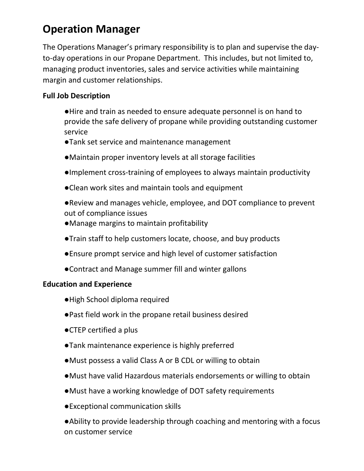## **Operation Manager**

The Operations Manager's primary responsibility is to plan and supervise the dayto-day operations in our Propane Department. This includes, but not limited to, managing product inventories, sales and service activities while maintaining margin and customer relationships.

## **Full Job Description**

- ●Hire and train as needed to ensure adequate personnel is on hand to provide the safe delivery of propane while providing outstanding customer service
- ●Tank set service and maintenance management
- ●Maintain proper inventory levels at all storage facilities
- ●Implement cross-training of employees to always maintain productivity
- ●Clean work sites and maintain tools and equipment
- ●Review and manages vehicle, employee, and DOT compliance to prevent out of compliance issues
- ●Manage margins to maintain profitability
- ●Train staff to help customers locate, choose, and buy products
- ●Ensure prompt service and high level of customer satisfaction
- ●Contract and Manage summer fill and winter gallons

## **Education and Experience**

- ●High School diploma required
- ●Past field work in the propane retail business desired
- ●CTEP certified a plus
- ●Tank maintenance experience is highly preferred
- ●Must possess a valid Class A or B CDL or willing to obtain
- ●Must have valid Hazardous materials endorsements or willing to obtain
- ●Must have a working knowledge of DOT safety requirements
- ●Exceptional communication skills
- ●Ability to provide leadership through coaching and mentoring with a focus on customer service